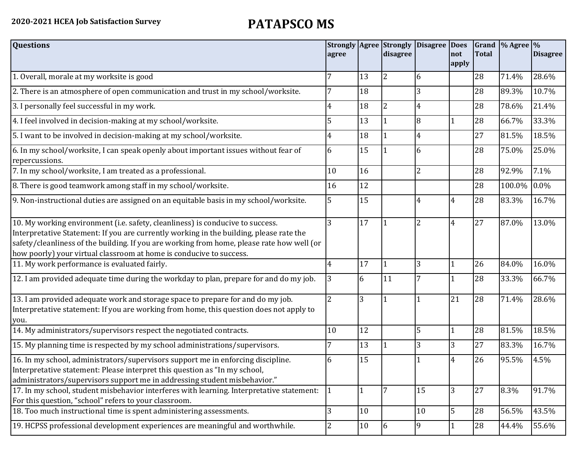| <b>Questions</b>                                                                                                                                                                                                                                                                                                                               | agree          |        | <b>Strongly Agree Strongly</b><br>disagree | Disagree Does  | not            | <b>Total</b> | Grand % Agree % | <b>Disagree</b> |
|------------------------------------------------------------------------------------------------------------------------------------------------------------------------------------------------------------------------------------------------------------------------------------------------------------------------------------------------|----------------|--------|--------------------------------------------|----------------|----------------|--------------|-----------------|-----------------|
|                                                                                                                                                                                                                                                                                                                                                |                |        |                                            |                | apply          |              |                 |                 |
| 1. Overall, morale at my worksite is good                                                                                                                                                                                                                                                                                                      |                | 13     | $\overline{2}$                             | 6              |                | 28           | 71.4%           | 28.6%           |
| 2. There is an atmosphere of open communication and trust in my school/worksite.                                                                                                                                                                                                                                                               |                | 18     |                                            | 3              |                | 28           | 89.3%           | 10.7%           |
| 3. I personally feel successful in my work.                                                                                                                                                                                                                                                                                                    | 4              | 18     | $\overline{2}$                             | 4              |                | 28           | 78.6%           | 21.4%           |
| 4. I feel involved in decision-making at my school/worksite.                                                                                                                                                                                                                                                                                   | 5              | 13     | $\overline{1}$                             | 8              |                | 28           | 66.7%           | 33.3%           |
| 5. I want to be involved in decision-making at my school/worksite.                                                                                                                                                                                                                                                                             | 4              | 18     | $\vert$ 1                                  | 4              |                | 27           | 81.5%           | 18.5%           |
| 6. In my school/worksite, I can speak openly about important issues without fear of<br>repercussions.                                                                                                                                                                                                                                          | 6              | 15     |                                            | 6              |                | 28           | 75.0%           | 25.0%           |
| 7. In my school/worksite, I am treated as a professional.                                                                                                                                                                                                                                                                                      | 10             | 16     |                                            | $\overline{2}$ |                | 28           | 92.9%           | 7.1%            |
| 8. There is good teamwork among staff in my school/worksite.                                                                                                                                                                                                                                                                                   | 16             | 12     |                                            |                |                | 28           | 100.0%          | $0.0\%$         |
| 9. Non-instructional duties are assigned on an equitable basis in my school/worksite.                                                                                                                                                                                                                                                          | 5              | 15     |                                            | 4              | 4              | 28           | 83.3%           | 16.7%           |
| 10. My working environment (i.e. safety, cleanliness) is conducive to success.<br>Interpretative Statement: If you are currently working in the building, please rate the<br>safety/cleanliness of the building. If you are working from home, please rate how well (or<br>how poorly) your virtual classroom at home is conducive to success. | 3              | 17     |                                            | $\overline{2}$ | $\overline{4}$ | 27           | 87.0%           | 13.0%           |
| 11. My work performance is evaluated fairly.                                                                                                                                                                                                                                                                                                   | 4              | 17     | I1                                         | 3              |                | 26           | 84.0%           | 16.0%           |
| 12. I am provided adequate time during the workday to plan, prepare for and do my job.                                                                                                                                                                                                                                                         | 3              | 6      | 11                                         |                |                | 28           | 33.3%           | 66.7%           |
| 13. I am provided adequate work and storage space to prepare for and do my job.<br>Interpretative statement: If you are working from home, this question does not apply to<br>you.                                                                                                                                                             | $\overline{2}$ | 3      | $\vert$ 1                                  |                | 21             | 28           | 71.4%           | 28.6%           |
| 14. My administrators/supervisors respect the negotiated contracts.                                                                                                                                                                                                                                                                            | 10             | 12     |                                            | 5              |                | 28           | 81.5%           | 18.5%           |
| 15. My planning time is respected by my school administrations/supervisors.                                                                                                                                                                                                                                                                    |                | 13     |                                            | 3              | 3              | 27           | 83.3%           | 16.7%           |
| 16. In my school, administrators/supervisors support me in enforcing discipline.<br>Interpretative statement: Please interpret this question as "In my school,<br>administrators/supervisors support me in addressing student misbehavior."                                                                                                    | 6              | 15     |                                            |                | 4              | 26           | 95.5%           | 4.5%            |
| 17. In my school, student misbehavior interferes with learning. Interpretative statement:<br>For this question, "school" refers to your classroom.                                                                                                                                                                                             |                |        | $\overline{7}$                             | 15             | 3              | 27           | 8.3%            | 91.7%           |
| 18. Too much instructional time is spent administering assessments.                                                                                                                                                                                                                                                                            | 3              | 10     |                                            | 10             | 5              | 28           | 56.5%           | 43.5%           |
| 19. HCPSS professional development experiences are meaningful and worthwhile.                                                                                                                                                                                                                                                                  | 2              | $10\,$ | 6                                          | 9              |                | 28           | 44.4%           | 55.6%           |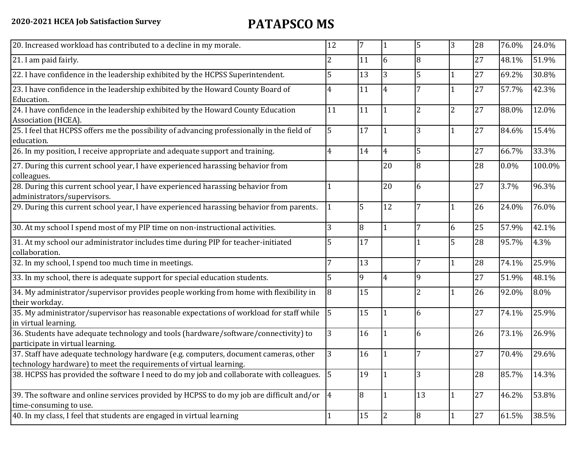| 20. Increased workload has contributed to a decline in my morale.                                                                                          | 12            | 7  |                | 5              | 3              | 28 | 76.0%   | 24.0%  |
|------------------------------------------------------------------------------------------------------------------------------------------------------------|---------------|----|----------------|----------------|----------------|----|---------|--------|
| 21. I am paid fairly.                                                                                                                                      | 2             | 11 | 6              | 8              |                | 27 | 48.1%   | 51.9%  |
| 22. I have confidence in the leadership exhibited by the HCPSS Superintendent.                                                                             | 5             | 13 | 3              | 5              |                | 27 | 69.2%   | 30.8%  |
| 23. I have confidence in the leadership exhibited by the Howard County Board of<br>Education.                                                              | 4             | 11 | $\overline{4}$ |                |                | 27 | 57.7%   | 42.3%  |
| 24. I have confidence in the leadership exhibited by the Howard County Education<br>Association (HCEA).                                                    | 11            | 11 |                |                | $\overline{c}$ | 27 | 88.0%   | 12.0%  |
| 25. I feel that HCPSS offers me the possibility of advancing professionally in the field of<br>education.                                                  | 5             | 17 |                | 3              | 1              | 27 | 84.6%   | 15.4%  |
| 26. In my position, I receive appropriate and adequate support and training.                                                                               | 4             | 14 | 4              | 5              |                | 27 | 66.7%   | 33.3%  |
| 27. During this current school year, I have experienced harassing behavior from<br>colleagues.                                                             |               |    | 20             | 8              |                | 28 | $0.0\%$ | 100.0% |
| 28. During this current school year, I have experienced harassing behavior from<br>administrators/supervisors.                                             |               |    | 20             | 6              |                | 27 | 3.7%    | 96.3%  |
| 29. During this current school year, I have experienced harassing behavior from parents.                                                                   |               | 5  | 12             |                |                | 26 | 24.0%   | 76.0%  |
| 30. At my school I spend most of my PIP time on non-instructional activities.                                                                              | 3             | 8  | 1              | 7              | 6              | 25 | 57.9%   | 42.1%  |
| 31. At my school our administrator includes time during PIP for teacher-initiated<br>collaboration.                                                        |               | 17 |                |                | 5              | 28 | 95.7%   | 4.3%   |
| 32. In my school, I spend too much time in meetings.                                                                                                       | 7             | 13 |                | 7              | 1              | 28 | 74.1%   | 25.9%  |
| 33. In my school, there is adequate support for special education students.                                                                                |               | 9  | 4              | 9              |                | 27 | 51.9%   | 48.1%  |
| 34. My administrator/supervisor provides people working from home with flexibility in<br>their workday.                                                    | 8             | 15 |                | $\overline{2}$ |                | 26 | 92.0%   | 8.0%   |
| 35. My administrator/supervisor has reasonable expectations of workload for staff while<br>in virtual learning.                                            | 5             | 15 |                | 6              |                | 27 | 74.1%   | 25.9%  |
| 36. Students have adequate technology and tools (hardware/software/connectivity) to<br>participate in virtual learning.                                    | 3             | 16 |                | 6              |                | 26 | 73.1%   | 26.9%  |
| 37. Staff have adequate technology hardware (e.g. computers, document cameras, other<br>technology hardware) to meet the requirements of virtual learning. | 3             | 16 |                | 7              |                | 27 | 70.4%   | 29.6%  |
| 38. HCPSS has provided the software I need to do my job and collaborate with colleagues.                                                                   | <sup>15</sup> | 19 | $\overline{1}$ | $\overline{3}$ |                | 28 | 85.7%   | 14.3%  |
| 39. The software and online services provided by HCPSS to do my job are difficult and/or $\vert 4 \vert$<br>time-consuming to use.                         |               | 8  | 1              | 13             | $\mathbf{1}$   | 27 | 46.2%   | 53.8%  |
| 40. In my class, I feel that students are engaged in virtual learning                                                                                      |               | 15 | $\vert$ 2      | 8              | 1              | 27 | 61.5%   | 38.5%  |